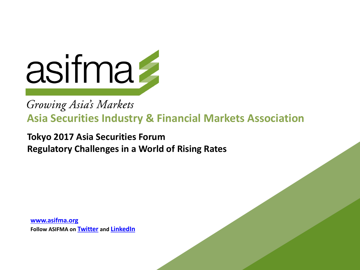

# Growing Asia's Markets Asia Securities Industry & Financial Markets Association

**Tokyo 2017 Asia Securities Forum Regulatory Challenges in a World of Rising Rates** 

**www.asifma.org Follow ASIFMA on Twitter and LinkedIn**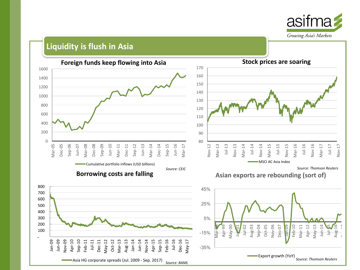

#### **Liquidity is flush in Asia**

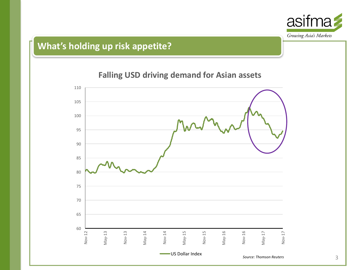

# **What's holding up risk appetite?**

### **Falling USD driving demand for Asian assets**

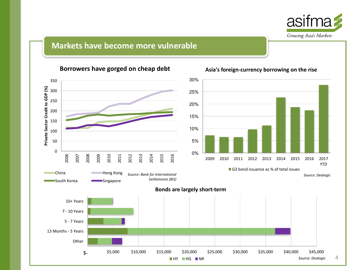

#### **Markets have become more vulnerable**



#### **Borrowers have gorged on cheap debt**

*Source: Dealogic*

YTD

4

#### Asia's foreign-currency borrowing on the rise

**HY HG NR**  $\blacksquare$  NR  $\blacksquare$  NR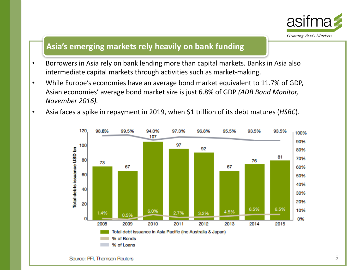

#### Asia's emerging markets rely heavily on bank funding

- Borrowers in Asia rely on bank lending more than capital markets. Banks in Asia also intermediate capital markets through activities such as market-making.
- While Europe's economies have an average bond market equivalent to 11.7% of GDP, Asian economies' average bond market size is just 6.8% of GDP (ADB Bond Monitor, *November 2016).*
- Asia faces a spike in repayment in 2019, when \$1 trillion of its debt matures (*HSBC*).

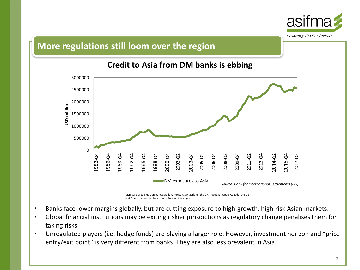

#### **More regulations still loom over the region**



### **Credit to Asia from DM banks is ebbing**

- DM: Euro-area plus Denmark, Sweden, Norway, Switzerland, the UK, Australia, Japan, Canada, the U.S., and Asian financial centres-- Hong Kong and Singapore
- Banks face lower margins globally, but are cutting exposure to high-growth, high-risk Asian markets.
- Global financial institutions may be exiting riskier jurisdictions as regulatory change penalises them for taking risks.
- Unregulated players (i.e. hedge funds) are playing a larger role. However, investment horizon and "price entry/exit point" is very different from banks. They are also less prevalent in Asia.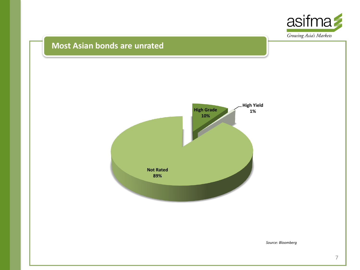

#### **Most Asian bonds are unrated**



*Source: Bloomberg*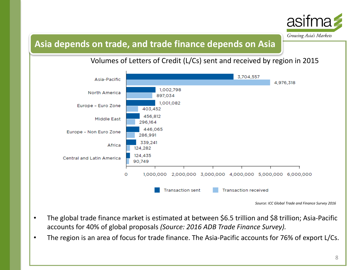

## Asia depends on trade, and trade finance depends on Asia

Volumes of Letters of Credit (L/Cs) sent and received by region in 2015



Source: ICC Global Trade and Finance Survey 2016

- The global trade finance market is estimated at between \$6.5 trillion and \$8 trillion; Asia-Pacific accounts for 40% of global proposals (Source: 2016 ADB Trade Finance Survey).
- The region is an area of focus for trade finance. The Asia-Pacific accounts for 76% of export L/Cs.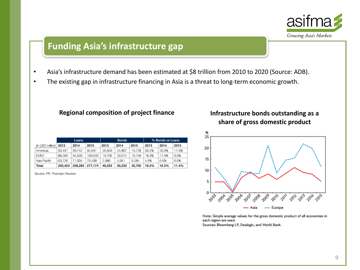

## **Funding Asia's infrastructure gap**

- Asia's infrastructure demand has been estimated at \$8 trillion from 2010 to 2020 (Source: ADB).
- The existing gap in infrastructure financing in Asia is a threat to long-term economic growth.

#### **Regional composition of project finance** *Infrastructure* **bonds outstanding as a**

|  |                  | Loans   |         |         | <b>Bonds</b> |        |        | % Bonds vs Loans |       |       |
|--|------------------|---------|---------|---------|--------------|--------|--------|------------------|-------|-------|
|  | (in USD million) | 2013    | 2014    | 2015    | 2013         | 2014   | 2015   | 2013             | 2014  | 2015  |
|  | Americas         | 53.431  | 93.742  | 92,691  | 26,563       | 24,807 | 19.728 | 33.2%            | 20.9% | 17.5% |
|  | <b>EMEA</b>      | 88,266  | 94.539  | 109,046 | 19.706       | 20.574 | 10.748 | 18.3%            | 17.9% | 9.0%  |
|  | Asia Pacific     | 63.726  | 71.004  | 75,438  | 2.986        | 4,951  | 5.284  | 4.5%             | 6.5%  | 6.5%  |
|  | <b>Total</b>     | 205.423 | 259,285 | 277,174 | 49,255       | 50,332 | 35,760 | 19.3%            | 16.3% | 11.4% |

Source: PFI, Thomson Reuters

# share of gross domestic product



Note: Simple average values for the gross domestic product of all economies in each region are used.

Sources: Bloomberg LP, Dealogic, and World Bank.